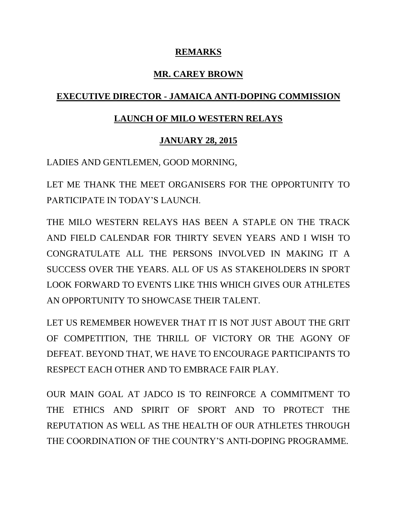### **REMARKS**

### **MR. CAREY BROWN**

# **EXECUTIVE DIRECTOR - JAMAICA ANTI-DOPING COMMISSION**

## **LAUNCH OF MILO WESTERN RELAYS**

## **JANUARY 28, 2015**

LADIES AND GENTLEMEN, GOOD MORNING,

LET ME THANK THE MEET ORGANISERS FOR THE OPPORTUNITY TO PARTICIPATE IN TODAY'S LAUNCH.

THE MILO WESTERN RELAYS HAS BEEN A STAPLE ON THE TRACK AND FIELD CALENDAR FOR THIRTY SEVEN YEARS AND I WISH TO CONGRATULATE ALL THE PERSONS INVOLVED IN MAKING IT A SUCCESS OVER THE YEARS. ALL OF US AS STAKEHOLDERS IN SPORT LOOK FORWARD TO EVENTS LIKE THIS WHICH GIVES OUR ATHLETES AN OPPORTUNITY TO SHOWCASE THEIR TALENT.

LET US REMEMBER HOWEVER THAT IT IS NOT JUST ABOUT THE GRIT OF COMPETITION, THE THRILL OF VICTORY OR THE AGONY OF DEFEAT. BEYOND THAT, WE HAVE TO ENCOURAGE PARTICIPANTS TO RESPECT EACH OTHER AND TO EMBRACE FAIR PLAY.

OUR MAIN GOAL AT JADCO IS TO REINFORCE A COMMITMENT TO THE ETHICS AND SPIRIT OF SPORT AND TO PROTECT THE REPUTATION AS WELL AS THE HEALTH OF OUR ATHLETES THROUGH THE COORDINATION OF THE COUNTRY'S ANTI-DOPING PROGRAMME.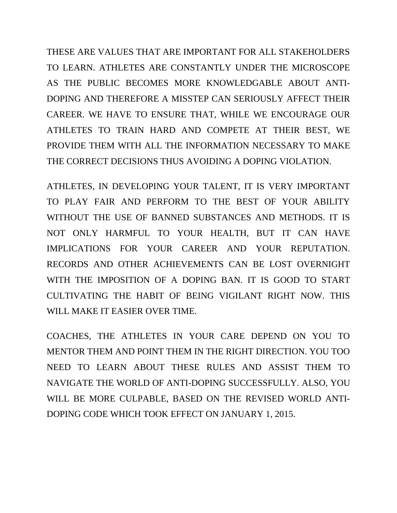THESE ARE VALUES THAT ARE IMPORTANT FOR ALL STAKEHOLDERS TO LEARN. ATHLETES ARE CONSTANTLY UNDER THE MICROSCOPE AS THE PUBLIC BECOMES MORE KNOWLEDGABLE ABOUT ANTI-DOPING AND THEREFORE A MISSTEP CAN SERIOUSLY AFFECT THEIR CAREER. WE HAVE TO ENSURE THAT, WHILE WE ENCOURAGE OUR ATHLETES TO TRAIN HARD AND COMPETE AT THEIR BEST, WE PROVIDE THEM WITH ALL THE INFORMATION NECESSARY TO MAKE THE CORRECT DECISIONS THUS AVOIDING A DOPING VIOLATION.

ATHLETES, IN DEVELOPING YOUR TALENT, IT IS VERY IMPORTANT TO PLAY FAIR AND PERFORM TO THE BEST OF YOUR ABILITY WITHOUT THE USE OF BANNED SUBSTANCES AND METHODS. IT IS NOT ONLY HARMFUL TO YOUR HEALTH, BUT IT CAN HAVE IMPLICATIONS FOR YOUR CAREER AND YOUR REPUTATION. RECORDS AND OTHER ACHIEVEMENTS CAN BE LOST OVERNIGHT WITH THE IMPOSITION OF A DOPING BAN. IT IS GOOD TO START CULTIVATING THE HABIT OF BEING VIGILANT RIGHT NOW. THIS WILL MAKE IT EASIER OVER TIME.

COACHES, THE ATHLETES IN YOUR CARE DEPEND ON YOU TO MENTOR THEM AND POINT THEM IN THE RIGHT DIRECTION. YOU TOO NEED TO LEARN ABOUT THESE RULES AND ASSIST THEM TO NAVIGATE THE WORLD OF ANTI-DOPING SUCCESSFULLY. ALSO, YOU WILL BE MORE CULPABLE, BASED ON THE REVISED WORLD ANTI-DOPING CODE WHICH TOOK EFFECT ON JANUARY 1, 2015.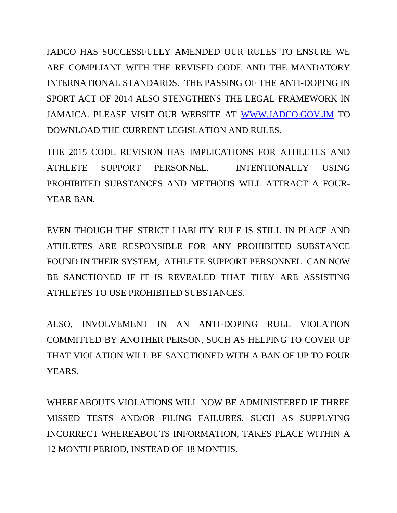JADCO HAS SUCCESSFULLY AMENDED OUR RULES TO ENSURE WE ARE COMPLIANT WITH THE REVISED CODE AND THE MANDATORY INTERNATIONAL STANDARDS. THE PASSING OF THE ANTI-DOPING IN SPORT ACT OF 2014 ALSO STENGTHENS THE LEGAL FRAMEWORK IN JAMAICA. PLEASE VISIT OUR WEBSITE AT [WWW.JADCO.GOV.JM](http://www.jadco.gov.jm/) TO DOWNLOAD THE CURRENT LEGISLATION AND RULES.

THE 2015 CODE REVISION HAS IMPLICATIONS FOR ATHLETES AND ATHLETE SUPPORT PERSONNEL. INTENTIONALLY USING PROHIBITED SUBSTANCES AND METHODS WILL ATTRACT A FOUR-YEAR BAN.

EVEN THOUGH THE STRICT LIABLITY RULE IS STILL IN PLACE AND ATHLETES ARE RESPONSIBLE FOR ANY PROHIBITED SUBSTANCE FOUND IN THEIR SYSTEM, ATHLETE SUPPORT PERSONNEL CAN NOW BE SANCTIONED IF IT IS REVEALED THAT THEY ARE ASSISTING ATHLETES TO USE PROHIBITED SUBSTANCES.

ALSO, INVOLVEMENT IN AN ANTI-DOPING RULE VIOLATION COMMITTED BY ANOTHER PERSON, SUCH AS HELPING TO COVER UP THAT VIOLATION WILL BE SANCTIONED WITH A BAN OF UP TO FOUR YEARS.

WHEREABOUTS VIOLATIONS WILL NOW BE ADMINISTERED IF THREE MISSED TESTS AND/OR FILING FAILURES, SUCH AS SUPPLYING INCORRECT WHEREABOUTS INFORMATION, TAKES PLACE WITHIN A 12 MONTH PERIOD, INSTEAD OF 18 MONTHS.